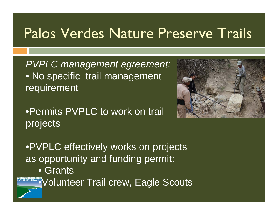### Palos Verdes Nature Preserve Trails

*PVPLC management agreement:* • No specific trail management requirement

•Permits PVPLC to work on trail projects



•PVPLC effectively works on projects as opportunity and funding permit: • Grants **ERXANG Volunteer Trail crew, Eagle Scouts**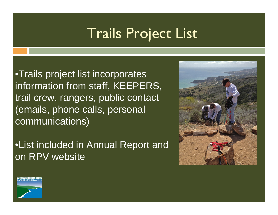# Trails Project List

- •Trails project list incorporates information from staff, KEEPERS, trail crew, rangers, public contact (emails, phone calls, personal communications)
- •List included in Annual Report and on RPV website



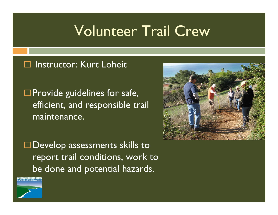#### Volunteer Trail Crew

#### □ Instructor: Kurt Loheit

 $\square$  Provide guidelines for safe, efficient, and responsible trail maintenance.

□ Develop assessments skills to report trail conditions, work to be done and potential hazards.



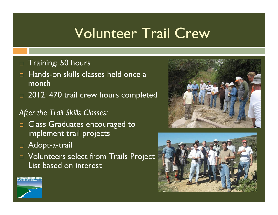# Volunteer Trail Crew

- $\Box$ Training: 50 hours
- Hands-on skills classes held once a month
- $\Box$  2012: 470 trail crew hours completed
- *After the Trail Skills Classes:*
- $\Box$  Class Graduates encouraged to  $\Box$ implement trail projects
- Adopt-a-trail
- $\Box$  Volunteers select from Trails Project List based on interest





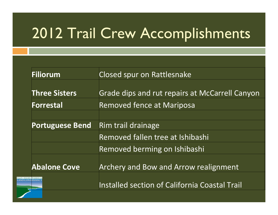# 2012 Trail Crew Accomplishments

| Closed spur on Rattlesnake                     |
|------------------------------------------------|
|                                                |
| Grade dips and rut repairs at McCarrell Canyon |
| <b>Removed fence at Mariposa</b>               |
|                                                |
| Rim trail drainage                             |
| Removed fallen tree at Ishibashi               |
| Removed berming on Ishibashi                   |
| <b>Archery and Bow and Arrow realignment</b>   |
| Installed section of California Coastal Trail  |
|                                                |

**PALOS VERD**<br>**LAND CO**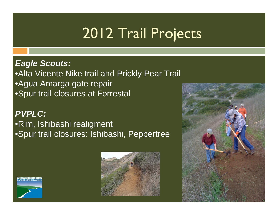# 2012 Trail Projects

#### *Eagle Scouts:*

•Alta Vicente Nike trail and Prickly Pear Trail •Agua Amarga gate repair •Spur trail closures at Forrestal

#### *PVPLC:*

#### •Rim, Ishibashi realigment •Spur trail closures: Ishibashi, Peppertree